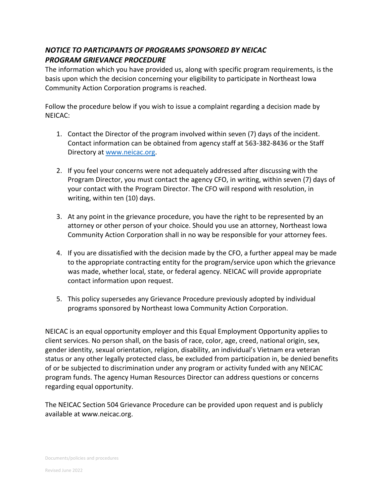## *NOTICE TO PARTICIPANTS OF PROGRAMS SPONSORED BY NEICAC PROGRAM GRIEVANCE PROCEDURE*

The information which you have provided us, along with specific program requirements, is the basis upon which the decision concerning your eligibility to participate in Northeast Iowa Community Action Corporation programs is reached.

Follow the procedure below if you wish to issue a complaint regarding a decision made by NEICAC:

- 1. Contact the Director of the program involved within seven (7) days of the incident. Contact information can be obtained from agency staff at 563-382-8436 or the Staff Directory at [www.neicac.org.](http://www.neicac.org/)
- 2. If you feel your concerns were not adequately addressed after discussing with the Program Director, you must contact the agency CFO, in writing, within seven (7) days of your contact with the Program Director. The CFO will respond with resolution, in writing, within ten (10) days.
- 3. At any point in the grievance procedure, you have the right to be represented by an attorney or other person of your choice. Should you use an attorney, Northeast Iowa Community Action Corporation shall in no way be responsible for your attorney fees.
- 4. If you are dissatisfied with the decision made by the CFO, a further appeal may be made to the appropriate contracting entity for the program/service upon which the grievance was made, whether local, state, or federal agency. NEICAC will provide appropriate contact information upon request.
- 5. This policy supersedes any Grievance Procedure previously adopted by individual programs sponsored by Northeast Iowa Community Action Corporation.

NEICAC is an equal opportunity employer and this Equal Employment Opportunity applies to client services. No person shall, on the basis of race, color, age, creed, national origin, sex, gender identity, sexual orientation, religion, disability, an individual's Vietnam era veteran status or any other legally protected class, be excluded from participation in, be denied benefits of or be subjected to discrimination under any program or activity funded with any NEICAC program funds. The agency Human Resources Director can address questions or concerns regarding equal opportunity.

The NEICAC Section 504 Grievance Procedure can be provided upon request and is publicly available at www.neicac.org.